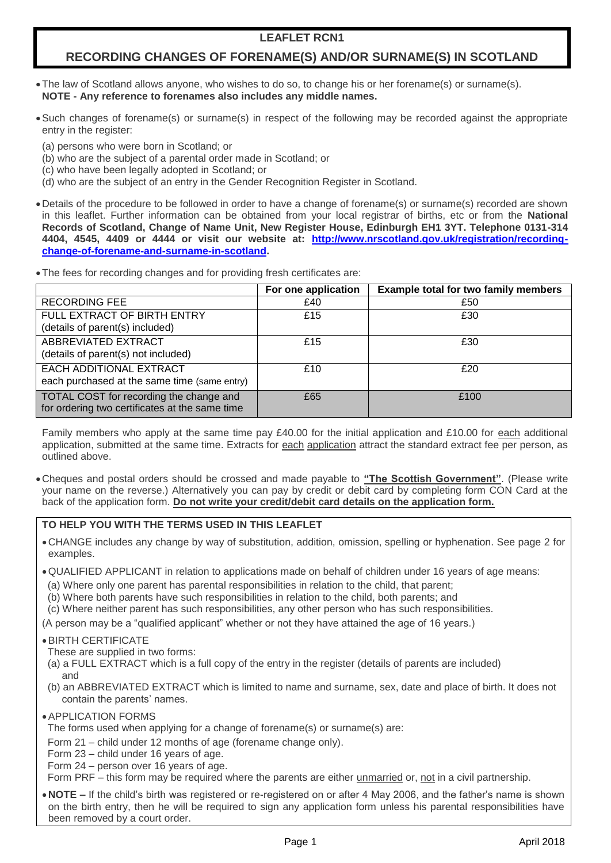# **LEAFLET RCN1**

# **RECORDING CHANGES OF FORENAME(S) AND/OR SURNAME(S) IN SCOTLAND**

- The law of Scotland allows anyone, who wishes to do so, to change his or her forename(s) or surname(s). **NOTE - Any reference to forenames also includes any middle names.**
- Such changes of forename(s) or surname(s) in respect of the following may be recorded against the appropriate entry in the register:
	- (a) persons who were born in Scotland; or
	- (b) who are the subject of a parental order made in Scotland; or
- (c) who have been legally adopted in Scotland; or
- (d) who are the subject of an entry in the Gender Recognition Register in Scotland.
- Details of the procedure to be followed in order to have a change of forename(s) or surname(s) recorded are shown in this leaflet. Further information can be obtained from your local registrar of births, etc or from the **National Records of Scotland, Change of Name Unit, New Register House, Edinburgh EH1 3YT. Telephone 0131-314 4404, 4545, 4409 or 4444 or visit our website at: [http://www.nrscotland.gov.uk/registration/recording](http://www.nrscotland.gov.uk/registration/recording-change-of-forename-and-surname-in-scotland)[change-of-forename-and-surname-in-scotland.](http://www.nrscotland.gov.uk/registration/recording-change-of-forename-and-surname-in-scotland)**
- The fees for recording changes and for providing fresh certificates are:

|                                                                                           | For one application | <b>Example total for two family members</b> |
|-------------------------------------------------------------------------------------------|---------------------|---------------------------------------------|
| <b>RECORDING FEE</b>                                                                      | £40                 | £50                                         |
| FULL EXTRACT OF BIRTH ENTRY<br>(details of parent(s) included)                            | £15                 | £30                                         |
| ABBREVIATED EXTRACT<br>(details of parent(s) not included)                                | £15                 | £30                                         |
| EACH ADDITIONAL EXTRACT<br>each purchased at the same time (same entry)                   | £10                 | £20                                         |
| TOTAL COST for recording the change and<br>for ordering two certificates at the same time | £65                 | £100                                        |

Family members who apply at the same time pay £40.00 for the initial application and £10.00 for each additional application, submitted at the same time. Extracts for each application attract the standard extract fee per person, as outlined above.

Cheques and postal orders should be crossed and made payable to **"The Scottish Government"**. (Please write your name on the reverse.) Alternatively you can pay by credit or debit card by completing form CON Card at the back of the application form. **Do not write your credit/debit card details on the application form.**

# **TO HELP YOU WITH THE TERMS USED IN THIS LEAFLET**

- CHANGE includes any change by way of substitution, addition, omission, spelling or hyphenation. See page 2 for examples.
- QUALIFIED APPLICANT in relation to applications made on behalf of children under 16 years of age means:
- (a) Where only one parent has parental responsibilities in relation to the child, that parent;
- (b) Where both parents have such responsibilities in relation to the child, both parents; and
- (c) Where neither parent has such responsibilities, any other person who has such responsibilities.

(A person may be a "qualified applicant" whether or not they have attained the age of 16 years.)

# BIRTH CERTIFICATE

These are supplied in two forms:

- (a) a FULL EXTRACT which is a full copy of the entry in the register (details of parents are included) and
- (b) an ABBREVIATED EXTRACT which is limited to name and surname, sex, date and place of birth. It does not contain the parents' names.
- APPLICATION FORMS

The forms used when applying for a change of forename(s) or surname(s) are:

Form 21 – child under 12 months of age (forename change only).

- Form 23 child under 16 years of age.
- Form 24 person over 16 years of age.

Form PRF – this form may be required where the parents are either unmarried or, not in a civil partnership.

**NOTE –** If the child's birth was registered or re-registered on or after 4 May 2006, and the father's name is shown on the birth entry, then he will be required to sign any application form unless his parental responsibilities have been removed by a court order.